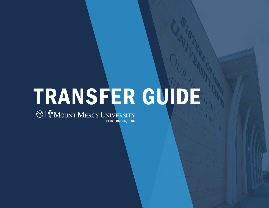# TRANSFER GUIDE

CEDAR RAPIDS, IOWA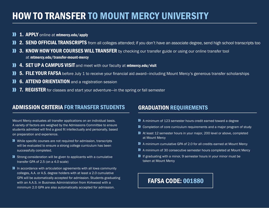# HOW TO TRANSFER TO MOUNT MERCY UNIVERSITY

- $\mathbf{v}$ 1. APPLY online at mtmercy.edu/apply
- **11 2. SEND OFFICIAL TRANSCRIPTS** from all colleges attended; if you don't have an associate degree, send high school transcripts too
- 3. KNOW HOW YOUR COURSES WILL TRANSFER by checking our transfer guide or using our online transfer tool at mtmercy.edu/transfer-mount-mercy
- **11 4. SET UP A CAMPUS VISIT** and meet with our faculty at minercy.edu/visit
- 5. FILE YOUR FAFSA before July 1 to receive your financial aid award—including Mount Mercy's generous transfer scholarships
- **6. ATTEND ORIENTATION** and a registration session D
- **7. REGISTER** for classes and start your adventure—in the spring or fall semester

#### ADMISSION CRITERIA FOR TRANSFER STUDENTS

#### GRADUATION REQUIREMENTS

- Mount Mercy evaluates all transfer applications on an individual basis. A variety of factors are weighed by the Admissions Committee to ensure students admitted will find a good fit intellectually and personally, based on preparation and experience.
- While specific courses are not required for admission, transcripts will be evaluated to ensure a strong college curriculum has been successfully completed.
- **N** Strong consideration will be given to applicants with a cumulative transfer GPA of 2.5 (on a 4.0 scale)
- **II** In accordance with articulation agreements with all Iowa community colleges, A.A. or A.S. degree holders with at least a 2.0 cumulative GPA will be automatically accepted for admission. Students graduating with an A.A.S. in Business Administration from Kirkwood with a minimum 2.0 GPA are also automatically accepted for admission.
- A minimum of 123 semester hours credit earned toward a degree
- **1)** Completion of core curriculum requirements and a major program of study
- At least 12 semester hours in your major, 200 level or above, completed at Mount Mercy
- A minimum cumulative GPA of 2.0 for all credits earned at Mount Mercy
- A minimum of 30 consecutive semester hours completed at Mount Mercy
- If graduating with a minor, 9 semester hours in your minor must be taken at Mount Mercy

## FAFSA CODE: 001880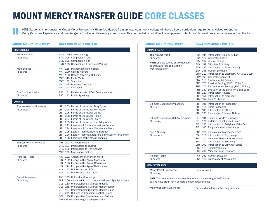# MOUNT MERCY TRANSFER GUIDE CORE CLASSES

NOTE: Students who transfer to Mount Mercy University with an A.A. degree from an Iowa community college will have all core curriculum requirements waived except the Mercy Capstone Experience and one Religious Studies or Philosophy core course. This course list is not all-inclusive; please contact us with questions about courses not on the list.

| <b>MOUNT MERCY UNIVERSITY</b>                    | <b>IOWA COMMUNITY COLLEGE</b>                                                                                                                                                                                                                                                                                                                                                                                                                                                                                                              |
|--------------------------------------------------|--------------------------------------------------------------------------------------------------------------------------------------------------------------------------------------------------------------------------------------------------------------------------------------------------------------------------------------------------------------------------------------------------------------------------------------------------------------------------------------------------------------------------------------------|
| <b>COMPETENCIES</b>                              |                                                                                                                                                                                                                                                                                                                                                                                                                                                                                                                                            |
| <b>English Writing</b><br>(1 course)             | ENG 120 College Writing<br>ENG 105 Composition I and<br>ENG 106 Composition II or<br>ENG 108 Composition II: Technical Writing                                                                                                                                                                                                                                                                                                                                                                                                             |
| <b>Mathematics</b><br>(1 course)                 | MAT 115 Mathematics and Society<br>MAT 120 College Algebra<br>MAT 138 College Algebra with Limits<br>MAT 140 Finite Math<br>MAT 157 Statistics<br>MAT 165 Business Calculus<br>MAT 210 Calculus I                                                                                                                                                                                                                                                                                                                                          |
| <b>Oral Communication</b><br>(1 course)          | SPC 101 Fundamentals of Oral Communication<br>SPC 112 Public Speaking                                                                                                                                                                                                                                                                                                                                                                                                                                                                      |
| <b>DOMAINS</b>                                   |                                                                                                                                                                                                                                                                                                                                                                                                                                                                                                                                            |
| <b>Expressive Arts: Literature</b><br>(1 course) | 203 Forms of Literature: Story Cycle<br>LIT.<br>204 Forms of Literature: Non-Fiction<br>LIT –<br>LIT 205 Forms of Literature: Drama<br>LIT 206 Forms of Literature: Fiction<br>LIT 207 Forms of Literature: Poetry<br>LIT 209 Forms of Literature: Film Adaptation<br>LIT 222 Literature & Culture: American Dreams<br>LIT –<br>224 Literature & Culture: Women and Work<br>LIT 225 Literary Themes: Beyond Bartleby<br>LIT.<br>226 Literary Themes: Literature & the Search for Identity<br>LIT.<br>158 Literature of the African Peoples |
| <b>Expressive Arts: Fine Arts</b><br>(1 course)  | ART 101 Art Appreciation<br>DRA 101 Introduction to Theatre<br>DRA 125 Introduction to Play Analysis<br>MUS 100 Music Appreciation                                                                                                                                                                                                                                                                                                                                                                                                         |
| <b>Historical Roots</b><br>(1 course)            | HIS 121 Ancient Mediterranean World<br>HIS 122 Europe in the Age of Monarchy<br>HIS 123 Europe in the Age of Revolution<br>HIS 124 Europe in the Age of Nationalism<br>HIS 151 U.S. History to 1877<br>HIS 152 U.S. History since 1877                                                                                                                                                                                                                                                                                                     |
| <b>Global Awareness</b><br>(1 course)            | ANT 105 Cultural Anthropology<br>FLS 266 Advanced Spanish: Latin American & Spanish Culture<br>CLS 140 Understanding Cultures: Mideast<br>CLS 165 Understanding Cultures: Modern Japan<br>CLS 167 Understanding Cultures: Modern China<br>CLS 211 Cultures in Transition: Central Europe<br>POL 125 Comparative Government and Politics<br>Any intermediate foreign language course                                                                                                                                                        |

| <b>MOUNT MERCY UNIVERSITY</b>                                                                                                               | <b>IOWA COMMUNITY COLLEGE</b>                                                                                                                                                                                                                                                                                                                                                                                                                                                                                                                                    |  |
|---------------------------------------------------------------------------------------------------------------------------------------------|------------------------------------------------------------------------------------------------------------------------------------------------------------------------------------------------------------------------------------------------------------------------------------------------------------------------------------------------------------------------------------------------------------------------------------------------------------------------------------------------------------------------------------------------------------------|--|
| DOMAINS (cont'd)                                                                                                                            |                                                                                                                                                                                                                                                                                                                                                                                                                                                                                                                                                                  |  |
| <b>The Natural World</b><br>(1 course)<br><b>NOTE:</b> One lab course or two non-lab<br>courses are required to fulfill<br>this requirement | BIO 104 Introductory Biology w/ Lab<br>BIO 112 General Biology I<br>BIO 154 Human Biology<br>BIO 189 Microbes & Society<br>BIO 190 Introduction to Biotechnology<br>BIO 195 Human Evolution<br>CHM 110 Introduction to Chemistry (CHM 111 Lab)<br>CHM 165 General Chemistry I<br><b>ENV 115 Environmental Science</b><br>PHS 170 Physical Geology (PHS 171 Lab)<br>PHS 175 Environmental Geology (PHS 176 Lab)<br>PHS 180 Evolution of the Earth (PHS 181 Lab)<br>PHY 120 Introductory Physics<br>PHS 151 Introduction to Astronomy<br>PHY 162 College Physics I |  |
| <b>Ultimate Questions: Philosophy</b><br>(1 course)                                                                                         | 101 Introduction to Philosophy<br>PHI<br>111 Basic Reasoning<br>PHI<br>PHI<br>105 Introduction to Ethics<br>PHI<br>130 Philosophy of Human Nature                                                                                                                                                                                                                                                                                                                                                                                                                |  |
| <b>Ultimate Questions: Religious Studies</b><br>(1 course)                                                                                  | REL 101 Survey of World Religions<br>REL 120 Judaism, Christianity & Islam<br>REL 130 Introduction to Religions of the East<br>REL 140 Religion in the United States                                                                                                                                                                                                                                                                                                                                                                                             |  |
| Self & Society<br>(2 courses)                                                                                                               | ECN 120 Principles of Macroeconomics<br>PSY 111 Introduction to Psychology<br>POL 111 American National Government<br>SOC 110 Introduction to Sociology<br>CRJ 100 Introduction to Criminal Justice<br>SOC 115 Social Problems<br>SOC 200 Minority Group Relations                                                                                                                                                                                                                                                                                               |  |
| <b>Holistic Health</b><br>(1 course)                                                                                                        | PSY 261 Human Sexuality<br>PSY 125 Psychology of Adjustment                                                                                                                                                                                                                                                                                                                                                                                                                                                                                                      |  |
| <b>MERCY EXPERIENCE</b>                                                                                                                     |                                                                                                                                                                                                                                                                                                                                                                                                                                                                                                                                                                  |  |
| <b>Mercy Portal Experience</b><br>(1 course)                                                                                                | No equivalent                                                                                                                                                                                                                                                                                                                                                                                                                                                                                                                                                    |  |
| <b>NOTE:</b> This requirement is waived for students transferring with 60 hours<br>or who have credit for 7 or more domain requirements     |                                                                                                                                                                                                                                                                                                                                                                                                                                                                                                                                                                  |  |
| <b>Mercy Capstone Experience</b>                                                                                                            | Required of all Mount Mercy graduates                                                                                                                                                                                                                                                                                                                                                                                                                                                                                                                            |  |